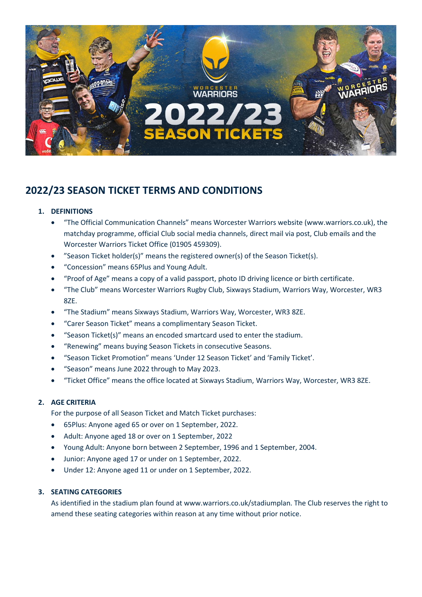

# **2022/23 SEASON TICKET TERMS AND CONDITIONS**

# **1. DEFINITIONS**

- "The Official Communication Channels" means Worcester Warriors website (www.warriors.co.uk), the matchday programme, official Club social media channels, direct mail via post, Club emails and the Worcester Warriors Ticket Office (01905 459309).
- "Season Ticket holder(s)" means the registered owner(s) of the Season Ticket(s).
- "Concession" means 65Plus and Young Adult.
- "Proof of Age" means a copy of a valid passport, photo ID driving licence or birth certificate.
- "The Club" means Worcester Warriors Rugby Club, Sixways Stadium, Warriors Way, Worcester, WR3 8ZE.
- "The Stadium" means Sixways Stadium, Warriors Way, Worcester, WR3 8ZE.
- "Carer Season Ticket" means a complimentary Season Ticket.
- "Season Ticket(s)" means an encoded smartcard used to enter the stadium.
- "Renewing" means buying Season Tickets in consecutive Seasons.
- "Season Ticket Promotion" means 'Under 12 Season Ticket' and 'Family Ticket'.
- "Season" means June 2022 through to May 2023.
- "Ticket Office" means the office located at Sixways Stadium, Warriors Way, Worcester, WR3 8ZE.

# **2. AGE CRITERIA**

For the purpose of all Season Ticket and Match Ticket purchases:

- 65Plus: Anyone aged 65 or over on 1 September, 2022.
- Adult: Anyone aged 18 or over on 1 September, 2022
- Young Adult: Anyone born between 2 September, 1996 and 1 September, 2004.
- Junior: Anyone aged 17 or under on 1 September, 2022.
- Under 12: Anyone aged 11 or under on 1 September, 2022.

#### **3. SEATING CATEGORIES**

As identified in the stadium plan found at www.warriors.co.uk/stadiumplan. The Club reserves the right to amend these seating categories within reason at any time without prior notice.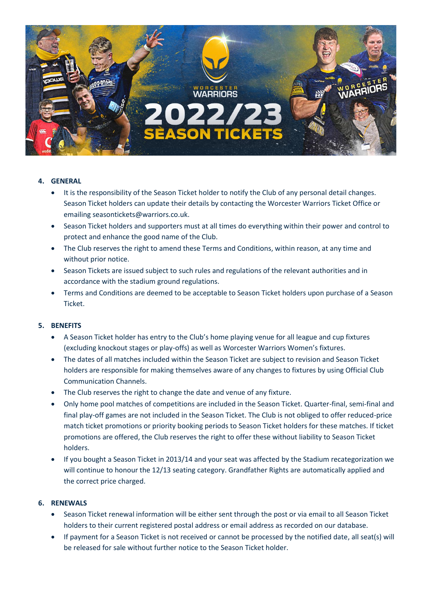

# **4. GENERAL**

- It is the responsibility of the Season Ticket holder to notify the Club of any personal detail changes. Season Ticket holders can update their details by contacting the Worcester Warriors Ticket Office or emailing seasontickets@warriors.co.uk.
- Season Ticket holders and supporters must at all times do everything within their power and control to protect and enhance the good name of the Club.
- The Club reserves the right to amend these Terms and Conditions, within reason, at any time and without prior notice.
- Season Tickets are issued subject to such rules and regulations of the relevant authorities and in accordance with the stadium ground regulations.
- Terms and Conditions are deemed to be acceptable to Season Ticket holders upon purchase of a Season Ticket.

# **5. BENEFITS**

- A Season Ticket holder has entry to the Club's home playing venue for all league and cup fixtures (excluding knockout stages or play-offs) as well as Worcester Warriors Women's fixtures.
- The dates of all matches included within the Season Ticket are subject to revision and Season Ticket holders are responsible for making themselves aware of any changes to fixtures by using Official Club Communication Channels.
- The Club reserves the right to change the date and venue of any fixture.
- Only home pool matches of competitions are included in the Season Ticket. Quarter-final, semi-final and final play-off games are not included in the Season Ticket. The Club is not obliged to offer reduced-price match ticket promotions or priority booking periods to Season Ticket holders for these matches. If ticket promotions are offered, the Club reserves the right to offer these without liability to Season Ticket holders.
- If you bought a Season Ticket in 2013/14 and your seat was affected by the Stadium recategorization we will continue to honour the 12/13 seating category. Grandfather Rights are automatically applied and the correct price charged.

#### **6. RENEWALS**

- Season Ticket renewal information will be either sent through the post or via email to all Season Ticket holders to their current registered postal address or email address as recorded on our database.
- If payment for a Season Ticket is not received or cannot be processed by the notified date, all seat(s) will be released for sale without further notice to the Season Ticket holder.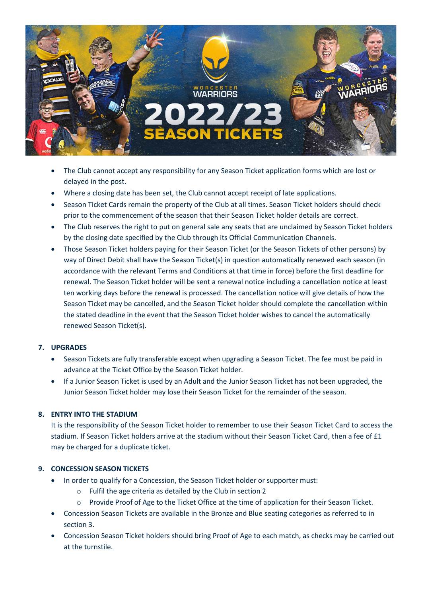

- The Club cannot accept any responsibility for any Season Ticket application forms which are lost or delayed in the post.
- Where a closing date has been set, the Club cannot accept receipt of late applications.
- Season Ticket Cards remain the property of the Club at all times. Season Ticket holders should check prior to the commencement of the season that their Season Ticket holder details are correct.
- The Club reserves the right to put on general sale any seats that are unclaimed by Season Ticket holders by the closing date specified by the Club through its Official Communication Channels.
- Those Season Ticket holders paying for their Season Ticket (or the Season Tickets of other persons) by way of Direct Debit shall have the Season Ticket(s) in question automatically renewed each season (in accordance with the relevant Terms and Conditions at that time in force) before the first deadline for renewal. The Season Ticket holder will be sent a renewal notice including a cancellation notice at least ten working days before the renewal is processed. The cancellation notice will give details of how the Season Ticket may be cancelled, and the Season Ticket holder should complete the cancellation within the stated deadline in the event that the Season Ticket holder wishes to cancel the automatically renewed Season Ticket(s).

#### **7. UPGRADES**

- Season Tickets are fully transferable except when upgrading a Season Ticket. The fee must be paid in advance at the Ticket Office by the Season Ticket holder.
- If a Junior Season Ticket is used by an Adult and the Junior Season Ticket has not been upgraded, the Junior Season Ticket holder may lose their Season Ticket for the remainder of the season.

# **8. ENTRY INTO THE STADIUM**

It is the responsibility of the Season Ticket holder to remember to use their Season Ticket Card to access the stadium. If Season Ticket holders arrive at the stadium without their Season Ticket Card, then a fee of £1 may be charged for a duplicate ticket.

#### **9. CONCESSION SEASON TICKETS**

- In order to qualify for a Concession, the Season Ticket holder or supporter must:
	- o Fulfil the age criteria as detailed by the Club in section 2
	- o Provide Proof of Age to the Ticket Office at the time of application for their Season Ticket.
- Concession Season Tickets are available in the Bronze and Blue seating categories as referred to in section 3.
- Concession Season Ticket holders should bring Proof of Age to each match, as checks may be carried out at the turnstile.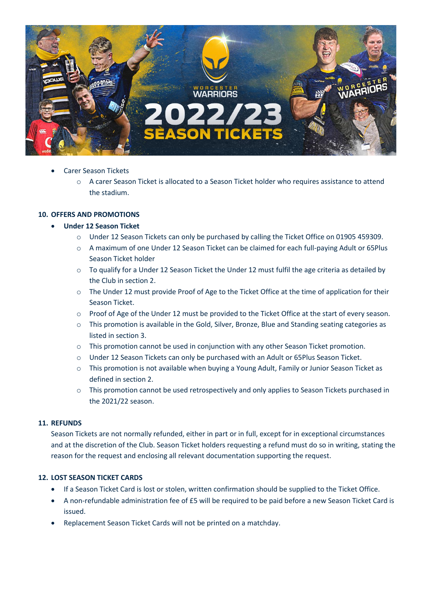

- Carer Season Tickets
	- o A carer Season Ticket is allocated to a Season Ticket holder who requires assistance to attend the stadium.

### **10. OFFERS AND PROMOTIONS**

### • **Under 12 Season Ticket**

- o Under 12 Season Tickets can only be purchased by calling the Ticket Office on 01905 459309.
- o A maximum of one Under 12 Season Ticket can be claimed for each full-paying Adult or 65Plus Season Ticket holder
- $\circ$  To qualify for a Under 12 Season Ticket the Under 12 must fulfil the age criteria as detailed by the Club in section 2.
- o The Under 12 must provide Proof of Age to the Ticket Office at the time of application for their Season Ticket.
- o Proof of Age of the Under 12 must be provided to the Ticket Office at the start of every season.
- o This promotion is available in the Gold, Silver, Bronze, Blue and Standing seating categories as listed in section 3.
- $\circ$  This promotion cannot be used in conjunction with any other Season Ticket promotion.
- o Under 12 Season Tickets can only be purchased with an Adult or 65Plus Season Ticket.
- o This promotion is not available when buying a Young Adult, Family or Junior Season Ticket as defined in section 2.
- o This promotion cannot be used retrospectively and only applies to Season Tickets purchased in the 2021/22 season.

# **11. REFUNDS**

Season Tickets are not normally refunded, either in part or in full, except for in exceptional circumstances and at the discretion of the Club. Season Ticket holders requesting a refund must do so in writing, stating the reason for the request and enclosing all relevant documentation supporting the request.

#### **12. LOST SEASON TICKET CARDS**

- If a Season Ticket Card is lost or stolen, written confirmation should be supplied to the Ticket Office.
- A non-refundable administration fee of £5 will be required to be paid before a new Season Ticket Card is issued.
- Replacement Season Ticket Cards will not be printed on a matchday.